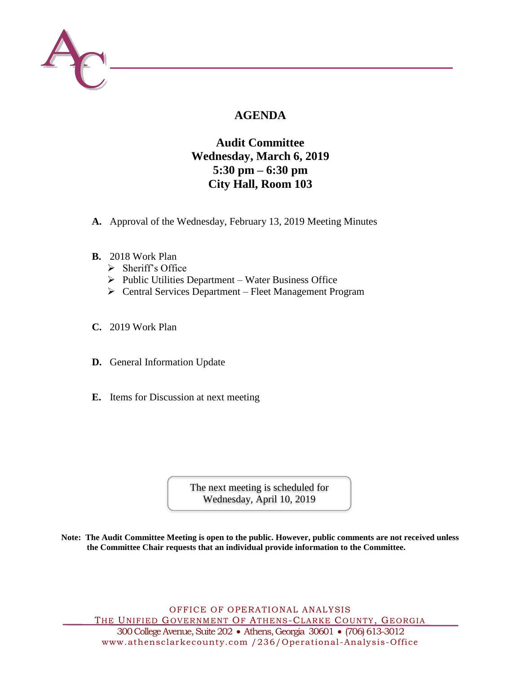

# **AGENDA**

## **Audit Committee Wednesday, March 6, 2019 5:30 pm – 6:30 pm City Hall, Room 103**

- **A.** Approval of the Wednesday, February 13, 2019 Meeting Minutes
- **B.** 2018 Work Plan
	- $\triangleright$  Sheriff's Office
	- $\triangleright$  Public Utilities Department Water Business Office
	- Central Services Department Fleet Management Program
- **C.** 2019 Work Plan
- **D.** General Information Update
- **E.** Items for Discussion at next meeting

The next meeting is scheduled for Wednesday, April 10, 2019

**Note: The Audit Committee Meeting is open to the public. However, public comments are not received unless the Committee Chair requests that an individual provide information to the Committee.**

OFFICE OF OPERATIONAL ANALYSIS THE UNIFIED GOVERNMENT OF ATHENS-CLARKE COUNTY, GEORGIA 300 College Avenue, Suite 202 Athens, Georgia 30601 (706) 613-3012 www.athensclarkecounty.com /236/Operational -Analysis-Office